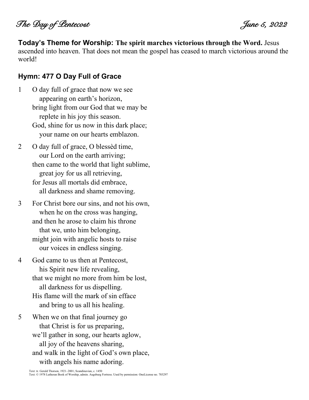The Day of Lentecost  $\mathcal I$ 

**Today's Theme for Worship: The spirit marches victorious through the Word.** Jesus ascended into heaven. That does not mean the gospel has ceased to march victorious around the world!

#### **Hymn: 477 O Day Full of Grace**

- 1 O day full of grace that now we see appearing on earth's horizon, bring light from our God that we may be replete in his joy this season. God, shine for us now in this dark place; your name on our hearts emblazon.
- 2 O day full of grace, O blessèd time, our Lord on the earth arriving; then came to the world that light sublime, great joy for us all retrieving, for Jesus all mortals did embrace, all darkness and shame removing.
- 3 For Christ bore our sins, and not his own, when he on the cross was hanging, and then he arose to claim his throne that we, unto him belonging, might join with angelic hosts to raise our voices in endless singing.
- 4 God came to us then at Pentecost, his Spirit new life revealing, that we might no more from him be lost, all darkness for us dispelling. His flame will the mark of sin efface and bring to us all his healing.
- 5 When we on that final journey go that Christ is for us preparing, we'll gather in song, our hearts aglow, all joy of the heavens sharing, and walk in the light of God's own place, with angels his name adoring.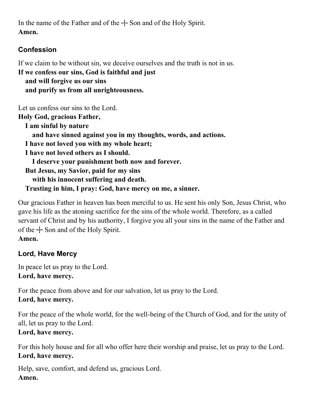In the name of the Father and of the  $+$  Son and of the Holy Spirit. **Amen.**

## **Confession**

If we claim to be without sin, we deceive ourselves and the truth is not in us.

**If we confess our sins, God is faithful and just and will forgive us our sins and purify us from all unrighteousness.**

Let us confess our sins to the Lord.

**Holy God, gracious Father, I am sinful by nature and have sinned against you in my thoughts, words, and actions. I have not loved you with my whole heart; I have not loved others as I should.** 

 **I deserve your punishment both now and forever. But Jesus, my Savior, paid for my sins with his innocent suffering and death. Trusting in him, I pray: God, have mercy on me, a sinner.**

Our gracious Father in heaven has been merciful to us. He sent his only Son, Jesus Christ, who gave his life as the atoning sacrifice for the sins of the whole world. Therefore, as a called servant of Christ and by his authority, I forgive you all your sins in the name of the Father and of the  $+$  Son and of the Holy Spirit. **Amen.**

# **Lord, Have Mercy**

In peace let us pray to the Lord. **Lord, have mercy.**

For the peace from above and for our salvation, let us pray to the Lord. **Lord, have mercy.**

For the peace of the whole world, for the well-being of the Church of God, and for the unity of all, let us pray to the Lord.

# **Lord, have mercy.**

For this holy house and for all who offer here their worship and praise, let us pray to the Lord. **Lord, have mercy.**

Help, save, comfort, and defend us, gracious Lord. **Amen.**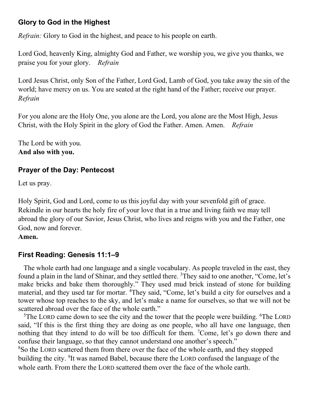### **Glory to God in the Highest**

*Refrain:* Glory to God in the highest, and peace to his people on earth.

Lord God, heavenly King, almighty God and Father, we worship you, we give you thanks, we praise you for your glory. *Refrain*

Lord Jesus Christ, only Son of the Father, Lord God, Lamb of God, you take away the sin of the world; have mercy on us. You are seated at the right hand of the Father; receive our prayer. *Refrain*

For you alone are the Holy One, you alone are the Lord, you alone are the Most High, Jesus Christ, with the Holy Spirit in the glory of God the Father. Amen. Amen. *Refrain*

The Lord be with you. **And also with you.**

### **Prayer of the Day: Pentecost**

Let us pray.

Holy Spirit, God and Lord, come to us this joyful day with your sevenfold gift of grace. Rekindle in our hearts the holy fire of your love that in a true and living faith we may tell abroad the glory of our Savior, Jesus Christ, who lives and reigns with you and the Father, one God, now and forever.

#### **Amen.**

### **First Reading: Genesis 11:1–9**

The whole earth had one language and a single vocabulary. As people traveled in the east, they found a plain in the land of Shinar, and they settled there. <sup>3</sup>They said to one another, "Come, let's make bricks and bake them thoroughly." They used mud brick instead of stone for building material, and they used tar for mortar. <sup>4</sup>They said, "Come, let's build a city for ourselves and a tower whose top reaches to the sky, and let's make a name for ourselves, so that we will not be scattered abroad over the face of the whole earth."

<sup>5</sup>The LORD came down to see the city and the tower that the people were building. <sup>6</sup>The LORD said, "If this is the first thing they are doing as one people, who all have one language, then nothing that they intend to do will be too difficult for them. <sup>7</sup>Come, let's go down there and confuse their language, so that they cannot understand one another's speech."

<sup>8</sup>So the LORD scattered them from there over the face of the whole earth, and they stopped building the city. <sup>9</sup>It was named Babel, because there the LORD confused the language of the whole earth. From there the LORD scattered them over the face of the whole earth.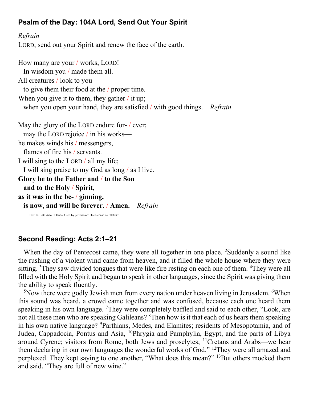### **Psalm of the Day: 104A Lord, Send Out Your Spirit**

*Refrain* LORD, send out your Spirit and renew the face of the earth.

How many are your / works, LORD! In wisdom you / made them all. All creatures / look to you to give them their food at the / proper time. When you give it to them, they gather / it up; when you open your hand, they are satisfied / with good things. *Refrain* May the glory of the LORD endure for- / ever; may the LORD rejoice / in his works he makes winds his / messengers, flames of fire his / servants. I will sing to the LORD / all my life; I will sing praise to my God as long / as I live. **Glory be to the Father and** / **to the Son and to the Holy** / **Spirit, as it was in the be-** / **ginning, is now, and will be forever.** / **Amen.** *Refrain* Text: © 1980 Arlo D. Duba. Used by permission: OneLicense no. 703297

#### **Second Reading: Acts 2:1–21**

When the day of Pentecost came, they were all together in one place. <sup>2</sup>Suddenly a sound like the rushing of a violent wind came from heaven, and it filled the whole house where they were sitting. <sup>3</sup>They saw divided tongues that were like fire resting on each one of them. <sup>4</sup>They were all filled with the Holy Spirit and began to speak in other languages, since the Spirit was giving them the ability to speak fluently.

 $5$ Now there were godly Jewish men from every nation under heaven living in Jerusalem.  $6$ When this sound was heard, a crowd came together and was confused, because each one heard them speaking in his own language. <sup>7</sup>They were completely baffled and said to each other, "Look, are not all these men who are speaking Galileans? <sup>8</sup>Then how is it that each of us hears them speaking in his own native language? <sup>9</sup>Parthians, Medes, and Elamites; residents of Mesopotamia, and of Judea, Cappadocia, Pontus and Asia, <sup>10</sup>Phrygia and Pamphylia, Egypt, and the parts of Libya around Cyrene; visitors from Rome, both Jews and proselytes; <sup>11</sup>Cretans and Arabs—we hear them declaring in our own languages the wonderful works of God." <sup>12</sup>They were all amazed and perplexed. They kept saying to one another, "What does this mean?" <sup>13</sup>But others mocked them and said, "They are full of new wine."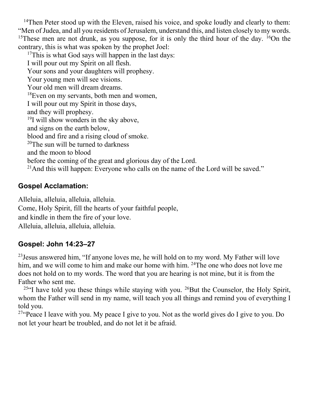<sup>14</sup>Then Peter stood up with the Eleven, raised his voice, and spoke loudly and clearly to them: "Men of Judea, and all you residents of Jerusalem, understand this, and listen closely to my words. <sup>15</sup>These men are not drunk, as you suppose, for it is only the third hour of the day. <sup>16</sup>On the contrary, this is what was spoken by the prophet Joel:

 $17$ This is what God says will happen in the last days: I will pour out my Spirit on all flesh. Your sons and your daughters will prophesy. Your young men will see visions. Your old men will dream dreams. <sup>18</sup>Even on my servants, both men and women, I will pour out my Spirit in those days, and they will prophesy. <sup>19</sup>I will show wonders in the sky above, and signs on the earth below, blood and fire and a rising cloud of smoke. <sup>20</sup>The sun will be turned to darkness and the moon to blood before the coming of the great and glorious day of the Lord. <sup>21</sup>And this will happen: Everyone who calls on the name of the Lord will be saved."

## **Gospel Acclamation:**

Alleluia, alleluia, alleluia, alleluia. Come, Holy Spirit, fill the hearts of your faithful people, and kindle in them the fire of your love. Alleluia, alleluia, alleluia, alleluia.

### **Gospel: John 14:23–27**

 $^{23}$  Jesus answered him, "If anyone loves me, he will hold on to my word. My Father will love him, and we will come to him and make our home with him. <sup>24</sup>The one who does not love me does not hold on to my words. The word that you are hearing is not mine, but it is from the Father who sent me.

<sup>25"</sup>I have told you these things while staying with you. <sup>26</sup>But the Counselor, the Holy Spirit, whom the Father will send in my name, will teach you all things and remind you of everything I told you.

<sup>27"</sup>Peace I leave with you. My peace I give to you. Not as the world gives do I give to you. Do not let your heart be troubled, and do not let it be afraid.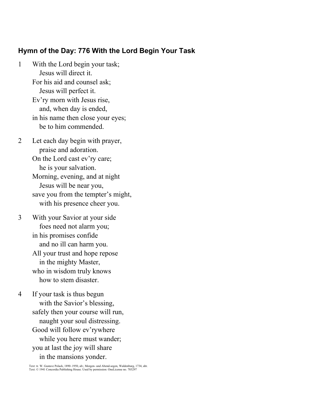#### **Hymn of the Day: 776 With the Lord Begin Your Task**

- 1 With the Lord begin your task; Jesus will direct it. For his aid and counsel ask; Jesus will perfect it. Ev'ry morn with Jesus rise, and, when day is ended, in his name then close your eyes; be to him commended.
- 2 Let each day begin with prayer, praise and adoration. On the Lord cast ev'ry care; he is your salvation. Morning, evening, and at night Jesus will be near you, save you from the tempter's might, with his presence cheer you.
- 3 With your Savior at your side foes need not alarm you; in his promises confide and no ill can harm you. All your trust and hope repose in the mighty Master, who in wisdom truly knows how to stem disaster.
- 4 If your task is thus begun with the Savior's blessing, safely then your course will run, naught your soul distressing. Good will follow ev'rywhere while you here must wander; you at last the joy will share in the mansions yonder.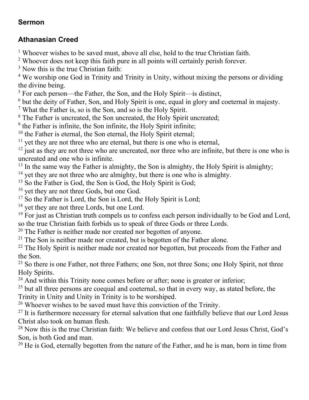### **Sermon**

### **Athanasian Creed**

 $1$  Whoever wishes to be saved must, above all else, hold to the true Christian faith.

<sup>2</sup> Whoever does not keep this faith pure in all points will certainly perish forever.

<sup>3</sup> Now this is the true Christian faith:

<sup>4</sup> We worship one God in Trinity and Trinity in Unity, without mixing the persons or dividing the divine being.

 $5$  For each person—the Father, the Son, and the Holy Spirit—is distinct,

<sup>6</sup> but the deity of Father, Son, and Holy Spirit is one, equal in glory and coeternal in majesty.

<sup>7</sup> What the Father is, so is the Son, and so is the Holy Spirit.

<sup>8</sup> The Father is uncreated, the Son uncreated, the Holy Spirit uncreated;

 $9$  the Father is infinite, the Son infinite, the Holy Spirit infinite;

 $10$  the Father is eternal, the Son eternal, the Holy Spirit eternal;

 $11$  yet they are not three who are eternal, but there is one who is eternal,

 $12$  just as they are not three who are uncreated, nor three who are infinite, but there is one who is uncreated and one who is infinite.

 $13$  In the same way the Father is almighty, the Son is almighty, the Holy Spirit is almighty;

<sup>14</sup> yet they are not three who are almighty, but there is one who is almighty.

<sup>15</sup> So the Father is God, the Son is God, the Holy Spirit is God;

<sup>16</sup> yet they are not three Gods, but one God.

 $17$  So the Father is Lord, the Son is Lord, the Holy Spirit is Lord;

<sup>18</sup> yet they are not three Lords, but one Lord.

 $19$  For just as Christian truth compels us to confess each person individually to be God and Lord, so the true Christian faith forbids us to speak of three Gods or three Lords.

 $20$  The Father is neither made nor created nor begotten of anyone.

 $21$  The Son is neither made nor created, but is begotten of the Father alone.

 $22$  The Holy Spirit is neither made nor created nor begotten, but proceeds from the Father and the Son.

<sup>23</sup> So there is one Father, not three Fathers; one Son, not three Sons; one Holy Spirit, not three Holy Spirits.

 $24$  And within this Trinity none comes before or after; none is greater or inferior;

 $25$  but all three persons are coequal and coeternal, so that in every way, as stated before, the Trinity in Unity and Unity in Trinity is to be worshiped.

<sup>26</sup> Whoever wishes to be saved must have this conviction of the Trinity.

 $27$  It is furthermore necessary for eternal salvation that one faithfully believe that our Lord Jesus Christ also took on human flesh.

<sup>28</sup> Now this is the true Christian faith: We believe and confess that our Lord Jesus Christ, God's Son, is both God and man.

 $29$  He is God, eternally begotten from the nature of the Father, and he is man, born in time from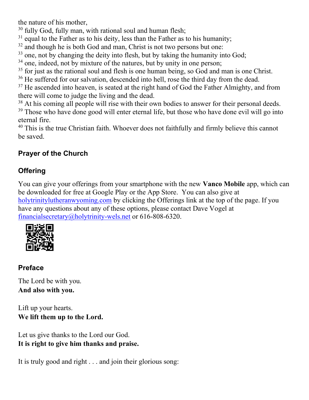the nature of his mother,

- $30$  fully God, fully man, with rational soul and human flesh;
- $31$  equal to the Father as to his deity, less than the Father as to his humanity;
- $32$  and though he is both God and man, Christ is not two persons but one:
- <sup>33</sup> one, not by changing the deity into flesh, but by taking the humanity into God;
- <sup>34</sup> one, indeed, not by mixture of the natures, but by unity in one person;
- $35$  for just as the rational soul and flesh is one human being, so God and man is one Christ.
- <sup>36</sup> He suffered for our salvation, descended into hell, rose the third day from the dead.

 $37$  He ascended into heaven, is seated at the right hand of God the Father Almighty, and from there will come to judge the living and the dead.

<sup>38</sup> At his coming all people will rise with their own bodies to answer for their personal deeds.

<sup>39</sup> Those who have done good will enter eternal life, but those who have done evil will go into eternal fire.

<sup>40</sup> This is the true Christian faith. Whoever does not faithfully and firmly believe this cannot be saved.

# **Prayer of the Church**

# **Offering**

You can give your offerings from your smartphone with the new **Vanco Mobile** app, which can be downloaded for free at Google Play or the App Store. You can also give at [holytrinitylutheranwyoming.com](http://holytrinitylutheranwyoming.com/) by clicking the Offerings link at the top of the page. If you have any questions about any of these options, please contact Dave Vogel at [financialsecretary@holytrinity-wels.net](mailto:financialsecretary@holytrinity-wels.net) or 616-808-6320.



# **Preface**

The Lord be with you. **And also with you.**

Lift up your hearts. **We lift them up to the Lord.**

Let us give thanks to the Lord our God. **It is right to give him thanks and praise.**

It is truly good and right . . . and join their glorious song: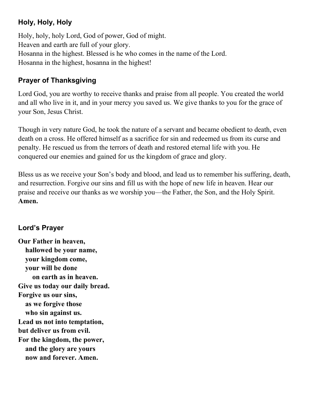### **Holy, Holy, Holy**

Holy, holy, holy Lord, God of power, God of might. Heaven and earth are full of your glory. Hosanna in the highest. Blessed is he who comes in the name of the Lord. Hosanna in the highest, hosanna in the highest!

## **Prayer of Thanksgiving**

Lord God, you are worthy to receive thanks and praise from all people. You created the world and all who live in it, and in your mercy you saved us. We give thanks to you for the grace of your Son, Jesus Christ.

Though in very nature God, he took the nature of a servant and became obedient to death, even death on a cross. He offered himself as a sacrifice for sin and redeemed us from its curse and penalty. He rescued us from the terrors of death and restored eternal life with you. He conquered our enemies and gained for us the kingdom of grace and glory.

Bless us as we receive your Son's body and blood, and lead us to remember his suffering, death, and resurrection. Forgive our sins and fill us with the hope of new life in heaven. Hear our praise and receive our thanks as we worship you—the Father, the Son, and the Holy Spirit. **Amen.**

### **Lord's Prayer**

**Our Father in heaven, hallowed be your name, your kingdom come, your will be done on earth as in heaven. Give us today our daily bread. Forgive us our sins, as we forgive those who sin against us. Lead us not into temptation, but deliver us from evil. For the kingdom, the power, and the glory are yours now and forever. Amen.**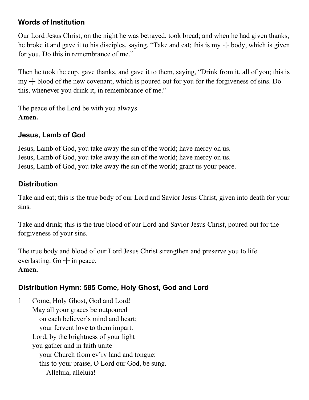### **Words of Institution**

Our Lord Jesus Christ, on the night he was betrayed, took bread; and when he had given thanks, he broke it and gave it to his disciples, saying, "Take and eat; this is my  $+$  body, which is given for you. Do this in remembrance of me."

Then he took the cup, gave thanks, and gave it to them, saying, "Drink from it, all of you; this is  $my + blood of the new covenant, which is poured out for you for the for giveness of sins. Do$ this, whenever you drink it, in remembrance of me."

The peace of the Lord be with you always. **Amen.**

### **Jesus, Lamb of God**

Jesus, Lamb of God, you take away the sin of the world; have mercy on us. Jesus, Lamb of God, you take away the sin of the world; have mercy on us. Jesus, Lamb of God, you take away the sin of the world; grant us your peace.

### **Distribution**

Take and eat; this is the true body of our Lord and Savior Jesus Christ, given into death for your sins.

Take and drink; this is the true blood of our Lord and Savior Jesus Christ, poured out for the forgiveness of your sins.

The true body and blood of our Lord Jesus Christ strengthen and preserve you to life everlasting. Go  $+$  in peace.

#### **Amen.**

### **Distribution Hymn: 585 Come, Holy Ghost, God and Lord**

1 Come, Holy Ghost, God and Lord! May all your graces be outpoured on each believer's mind and heart; your fervent love to them impart. Lord, by the brightness of your light you gather and in faith unite your Church from ev'ry land and tongue: this to your praise, O Lord our God, be sung. Alleluia, alleluia!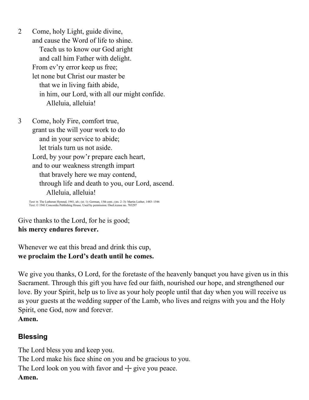2 Come, holy Light, guide divine, and cause the Word of life to shine. Teach us to know our God aright and call him Father with delight. From ev'ry error keep us free; let none but Christ our master be that we in living faith abide, in him, our Lord, with all our might confide. Alleluia, alleluia!

3 Come, holy Fire, comfort true, grant us the will your work to do and in your service to abide; let trials turn us not aside. Lord, by your pow'r prepare each heart, and to our weakness strength impart that bravely here we may contend, through life and death to you, our Lord, ascend. Alleluia, alleluia!

Text: tr. The Lutheran Hymnal, 1941, alt.; (st. 1): German, 15th cent.; (sts. 2–3): Martin Luther, 1483–1546 Text: © 1941 Concordia Publishing House. Used by permission: OneLicense no. 703297

Give thanks to the Lord, for he is good; **his mercy endures forever.**

Whenever we eat this bread and drink this cup, **we proclaim the Lord's death until he comes.**

We give you thanks, O Lord, for the foretaste of the heavenly banquet you have given us in this Sacrament. Through this gift you have fed our faith, nourished our hope, and strengthened our love. By your Spirit, help us to live as your holy people until that day when you will receive us as your guests at the wedding supper of the Lamb, who lives and reigns with you and the Holy Spirit, one God, now and forever.

**Amen.**

### **Blessing**

The Lord bless you and keep you. The Lord make his face shine on you and be gracious to you. The Lord look on you with favor and  $+$  give you peace. **Amen.**